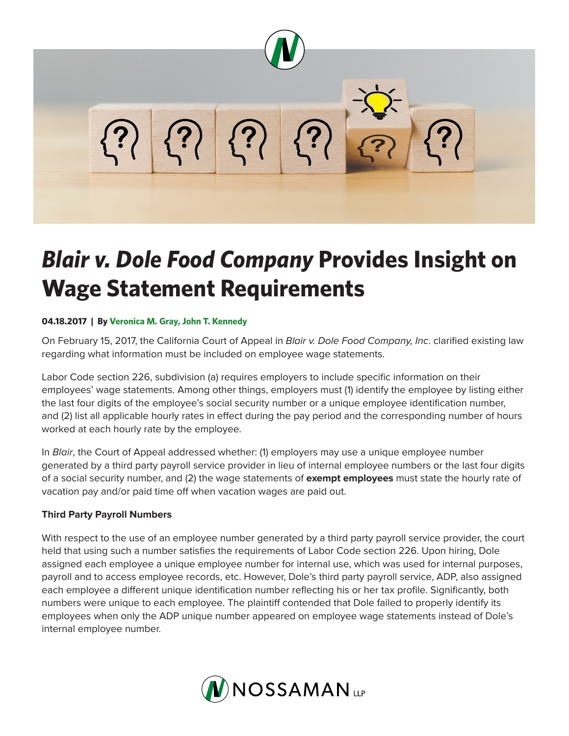

# *Blair v. Dole Food Company* **Provides Insight on Wage Statement Requirements**

### **04.18.2017 | By Veronica M. Gray, John T. Kennedy**

On February 15, 2017, the California Court of Appeal in *Blair v. Dole Food Company, Inc*. clarified existing law regarding what information must be included on employee wage statements.

Labor Code section 226, subdivision (a) requires employers to include specific information on their employees' wage statements. Among other things, employers must (1) identify the employee by listing either the last four digits of the employee's social security number or a unique employee identification number, and (2) list all applicable hourly rates in effect during the pay period and the corresponding number of hours worked at each hourly rate by the employee.

In *Blair*, the Court of Appeal addressed whether: (1) employers may use a unique employee number generated by a third party payroll service provider in lieu of internal employee numbers or the last four digits of a social security number, and (2) the wage statements of **exempt employees** must state the hourly rate of vacation pay and/or paid time off when vacation wages are paid out.

# **Third Party Payroll Numbers**

With respect to the use of an employee number generated by a third party payroll service provider, the court held that using such a number satisfies the requirements of Labor Code section 226. Upon hiring, Dole assigned each employee a unique employee number for internal use, which was used for internal purposes, payroll and to access employee records, etc. However, Dole's third party payroll service, ADP, also assigned each employee a different unique identification number reflecting his or her tax profile. Significantly, both numbers were unique to each employee. The plaintiff contended that Dole failed to properly identify its employees when only the ADP unique number appeared on employee wage statements instead of Dole's internal employee number.